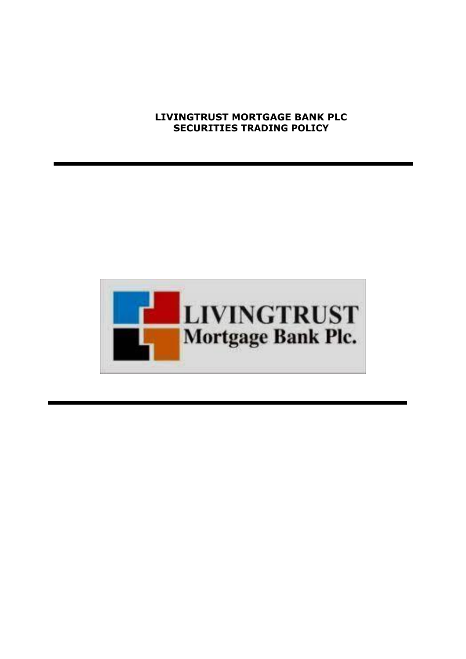## **LIVINGTRUST MORTGAGE BANK PLC SECURITIES TRADING POLICY**

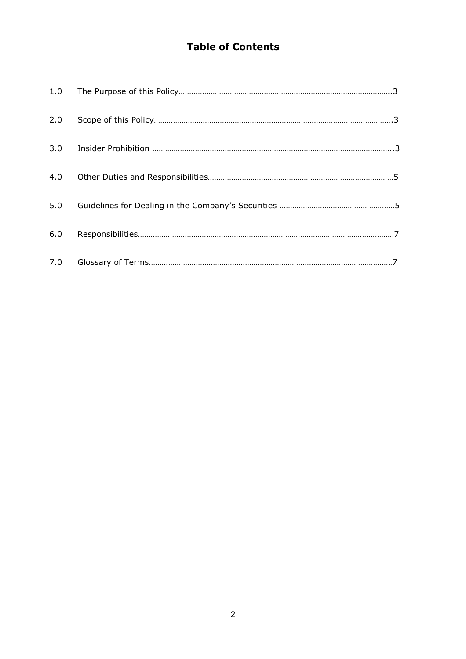# **Table of Contents**

| 6.0 |  |
|-----|--|
|     |  |
|     |  |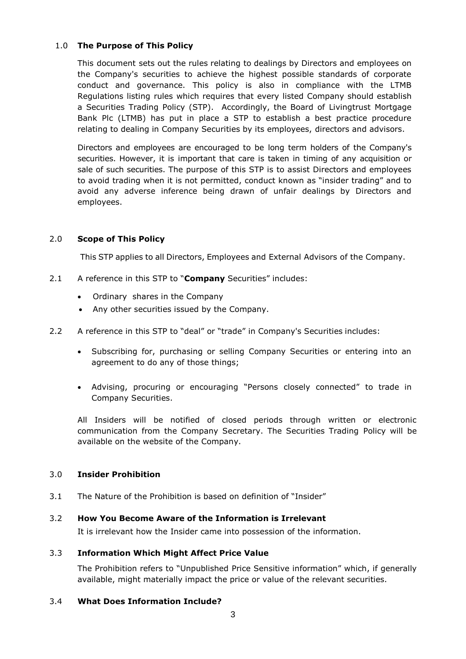## 1.0 **The Purpose of This Policy**

This document sets out the rules relating to dealings by Directors and employees on the Company's securities to achieve the highest possible standards of corporate conduct and governance. This policy is also in compliance with the LTMB Regulations listing rules which requires that every listed Company should establish a Securities Trading Policy (STP). Accordingly, the Board of Livingtrust Mortgage Bank Plc (LTMB) has put in place a STP to establish a best practice procedure relating to dealing in Company Securities by its employees, directors and advisors.

Directors and employees are encouraged to be long term holders of the Company's securities. However, it is important that care is taken in timing of any acquisition or sale of such securities. The purpose of this STP is to assist Directors and employees to avoid trading when it is not permitted, conduct known as "insider trading" and to avoid any adverse inference being drawn of unfair dealings by Directors and employees.

## 2.0 **Scope of This Policy**

This STP applies to all Directors, Employees and External Advisors of the Company.

- 2.1 A reference in this STP to "**Company** Securities" includes:
	- Ordinary shares in the Company
	- Any other securities issued by the Company.
- 2.2 A reference in this STP to "deal" or "trade" in Company's Securities includes:
	- Subscribing for, purchasing or selling Company Securities or entering into an agreement to do any of those things;
	- Advising, procuring or encouraging "Persons closely connected" to trade in Company Securities.

All Insiders will be notified of closed periods through written or electronic communication from the Company Secretary. The Securities Trading Policy will be available on the website of the Company.

#### 3.0 **Insider Prohibition**

3.1 The Nature of the Prohibition is based on definition of "Insider"

#### 3.2 **How You Become Aware of the Information is Irrelevant**

It is irrelevant how the Insider came into possession of the information.

#### 3.3 **Information Which Might Affect Price Value**

The Prohibition refers to "Unpublished Price Sensitive information" which, if generally available, might materially impact the price or value of the relevant securities.

#### 3.4 **What Does Information Include?**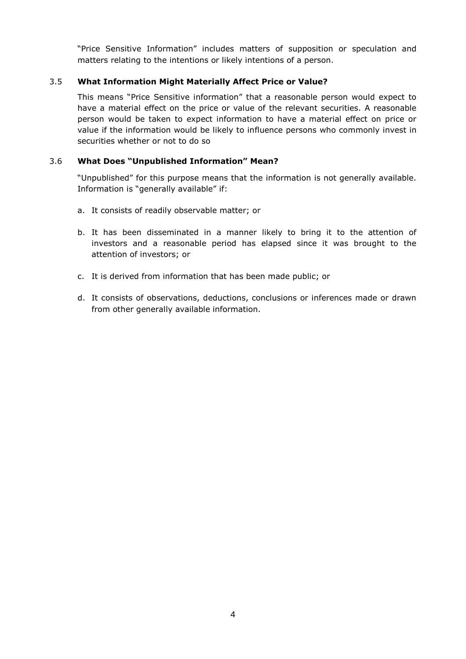"Price Sensitive Information" includes matters of supposition or speculation and matters relating to the intentions or likely intentions of a person.

## 3.5 **What Information Might Materially Affect Price or Value?**

This means "Price Sensitive information" that a reasonable person would expect to have a material effect on the price or value of the relevant securities. A reasonable person would be taken to expect information to have a material effect on price or value if the information would be likely to influence persons who commonly invest in securities whether or not to do so

## 3.6 **What Does "Unpublished Information" Mean?**

"Unpublished" for this purpose means that the information is not generally available. Information is "generally available" if:

- a. It consists of readily observable matter; or
- b. It has been disseminated in a manner likely to bring it to the attention of investors and a reasonable period has elapsed since it was brought to the attention of investors; or
- c. It is derived from information that has been made public; or
- d. It consists of observations, deductions, conclusions or inferences made or drawn from other generally available information.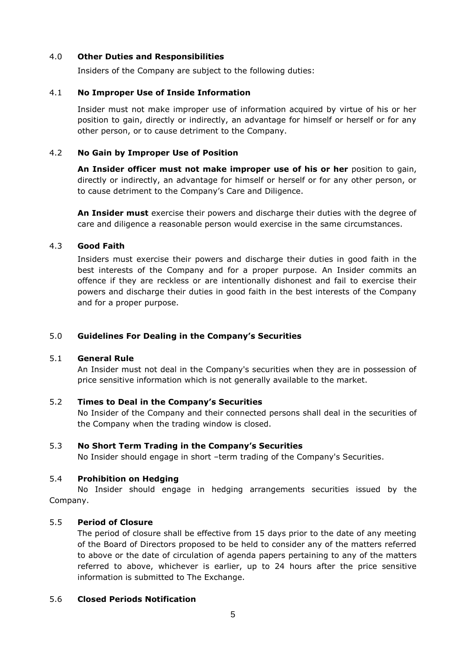## 4.0 **Other Duties and Responsibilities**

Insiders of the Company are subject to the following duties:

## 4.1 **No Improper Use of Inside Information**

Insider must not make improper use of information acquired by virtue of his or her position to gain, directly or indirectly, an advantage for himself or herself or for any other person, or to cause detriment to the Company.

## 4.2 **No Gain by Improper Use of Position**

**An Insider officer must not make improper use of his or her** position to gain, directly or indirectly, an advantage for himself or herself or for any other person, or to cause detriment to the Company's Care and Diligence.

**An Insider must** exercise their powers and discharge their duties with the degree of care and diligence a reasonable person would exercise in the same circumstances.

## 4.3 **Good Faith**

Insiders must exercise their powers and discharge their duties in good faith in the best interests of the Company and for a proper purpose. An Insider commits an offence if they are reckless or are intentionally dishonest and fail to exercise their powers and discharge their duties in good faith in the best interests of the Company and for a proper purpose.

## 5.0 **Guidelines For Dealing in the Company's Securities**

#### 5.1 **General Rule**

An Insider must not deal in the Company's securities when they are in possession of price sensitive information which is not generally available to the market.

#### 5.2 **Times to Deal in the Company's Securities**

No Insider of the Company and their connected persons shall deal in the securities of the Company when the trading window is closed.

#### 5.3 **No Short Term Trading in the Company's Securities**

No Insider should engage in short –term trading of the Company's Securities.

#### 5.4 **Prohibition on Hedging**

No Insider should engage in hedging arrangements securities issued by the Company.

## 5.5 **Period of Closure**

The period of closure shall be effective from 15 days prior to the date of any meeting of the Board of Directors proposed to be held to consider any of the matters referred to above or the date of circulation of agenda papers pertaining to any of the matters referred to above, whichever is earlier, up to 24 hours after the price sensitive information is submitted to The Exchange.

#### 5.6 **Closed Periods Notification**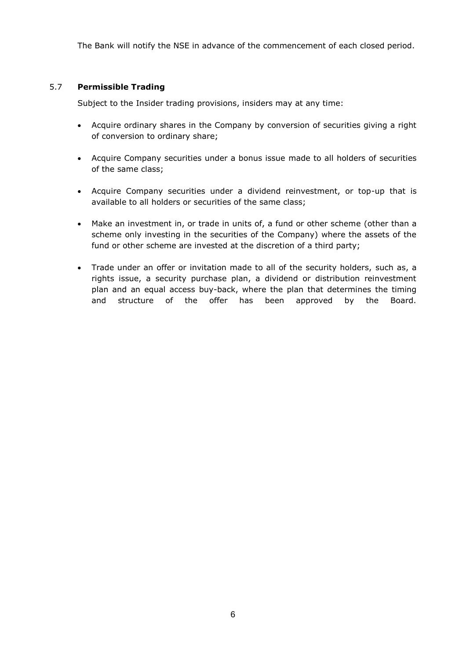The Bank will notify the NSE in advance of the commencement of each closed period.

## 5.7 **Permissible Trading**

Subject to the Insider trading provisions, insiders may at any time:

- Acquire ordinary shares in the Company by conversion of securities giving a right of conversion to ordinary share;
- Acquire Company securities under a bonus issue made to all holders of securities of the same class;
- Acquire Company securities under a dividend reinvestment, or top-up that is available to all holders or securities of the same class;
- Make an investment in, or trade in units of, a fund or other scheme (other than a scheme only investing in the securities of the Company) where the assets of the fund or other scheme are invested at the discretion of a third party;
- Trade under an offer or invitation made to all of the security holders, such as, a rights issue, a security purchase plan, a dividend or distribution reinvestment plan and an equal access buy-back, where the plan that determines the timing and structure of the offer has been approved by the Board.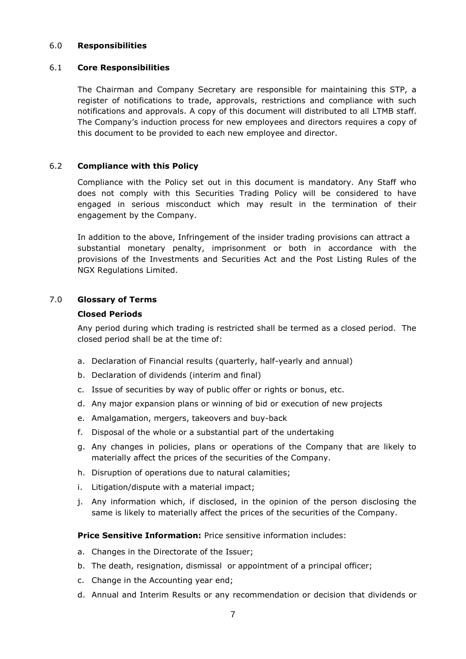#### 6.0 **Responsibilities**

## 6.1 **Core Responsibilities**

The Chairman and Company Secretary are responsible for maintaining this STP, a register of notifications to trade, approvals, restrictions and compliance with such notifications and approvals. A copy of this document will distributed to all LTMB staff. The Company's induction process for new employees and directors requires a copy of this document to be provided to each new employee and director.

## 6.2 **Compliance with this Policy**

Compliance with the Policy set out in this document is mandatory. Any Staff who does not comply with this Securities Trading Policy will be considered to have engaged in serious misconduct which may result in the termination of their engagement by the Company.

In addition to the above, Infringement of the insider trading provisions can attract a substantial monetary penalty, imprisonment or both in accordance with the provisions of the Investments and Securities Act and the Post Listing Rules of the NGX Regulations Limited.

## 7.0 **Glossary of Terms**

## **Closed Periods**

Any period during which trading is restricted shall be termed as a closed period. The closed period shall be at the time of:

- a. Declaration of Financial results (quarterly, half-yearly and annual)
- b. Declaration of dividends (interim and final)
- c. Issue of securities by way of public offer or rights or bonus, etc.
- d. Any major expansion plans or winning of bid or execution of new projects
- e. Amalgamation, mergers, takeovers and buy-back
- f. Disposal of the whole or a substantial part of the undertaking
- g. Any changes in policies, plans or operations of the Company that are likely to materially affect the prices of the securities of the Company.
- h. Disruption of operations due to natural calamities;
- i. Litigation/dispute with a material impact;
- j. Any information which, if disclosed, in the opinion of the person disclosing the same is likely to materially affect the prices of the securities of the Company.

## **Price Sensitive Information:** Price sensitive information includes:

- a. Changes in the Directorate of the Issuer;
- b. The death, resignation, dismissal or appointment of a principal officer;
- c. Change in the Accounting year end;
- d. Annual and Interim Results or any recommendation or decision that dividends or